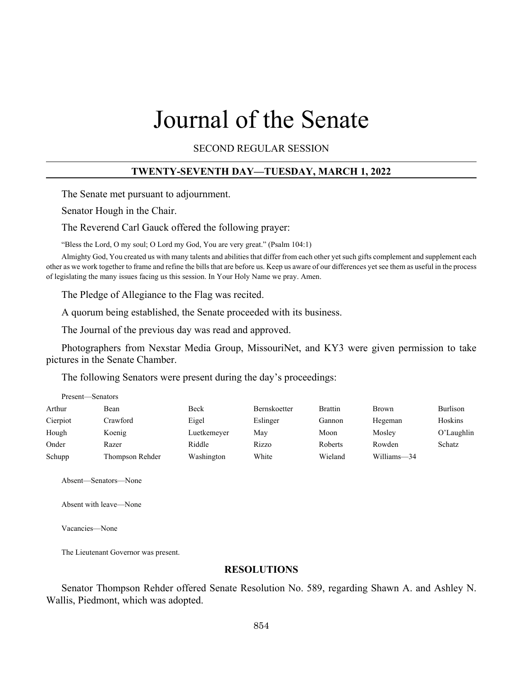# Journal of the Senate

SECOND REGULAR SESSION

# **TWENTY-SEVENTH DAY—TUESDAY, MARCH 1, 2022**

The Senate met pursuant to adjournment.

Senator Hough in the Chair.

The Reverend Carl Gauck offered the following prayer:

"Bless the Lord, O my soul; O Lord my God, You are very great." (Psalm 104:1)

Almighty God, You created us with many talents and abilities that differ from each other yet such gifts complement and supplement each other as we work together to frame and refine the bills that are before us. Keep us aware of our differences yet see them as useful in the process of legislating the many issues facing us this session. In Your Holy Name we pray. Amen.

The Pledge of Allegiance to the Flag was recited.

A quorum being established, the Senate proceeded with its business.

The Journal of the previous day was read and approved.

Photographers from Nexstar Media Group, MissouriNet, and KY3 were given permission to take pictures in the Senate Chamber.

The following Senators were present during the day's proceedings:

| Present—Senators |                 |             |                     |                |             |               |
|------------------|-----------------|-------------|---------------------|----------------|-------------|---------------|
| Arthur           | Bean            | Beck        | <b>Bernskoetter</b> | <b>Brattin</b> | Brown       | Burlison      |
| Cierpiot         | Crawford        | Eigel       | Eslinger            | Gannon         | Hegeman     | Hoskins       |
| Hough            | Koenig          | Luetkemeyer | May                 | Moon           | Mosley      | $O'$ Laughlin |
| Onder            | Razer           | Riddle      | Rizzo               | Roberts        | Rowden      | Schatz        |
| Schupp           | Thompson Rehder | Washington  | White               | Wieland        | Williams-34 |               |

Absent—Senators—None

Absent with leave—None

Vacancies—None

The Lieutenant Governor was present.

#### **RESOLUTIONS**

Senator Thompson Rehder offered Senate Resolution No. 589, regarding Shawn A. and Ashley N. Wallis, Piedmont, which was adopted.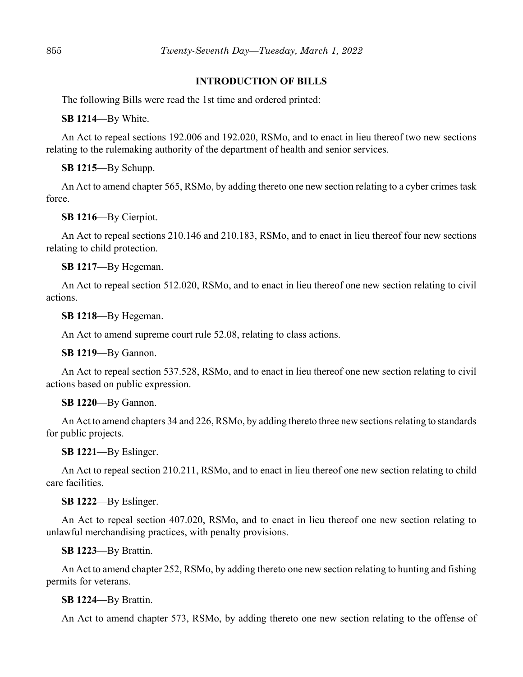## **INTRODUCTION OF BILLS**

The following Bills were read the 1st time and ordered printed:

**SB 1214**—By White.

An Act to repeal sections 192.006 and 192.020, RSMo, and to enact in lieu thereof two new sections relating to the rulemaking authority of the department of health and senior services.

**SB 1215**—By Schupp.

An Act to amend chapter 565, RSMo, by adding thereto one new section relating to a cyber crimes task force.

**SB 1216**—By Cierpiot.

An Act to repeal sections 210.146 and 210.183, RSMo, and to enact in lieu thereof four new sections relating to child protection.

**SB 1217**—By Hegeman.

An Act to repeal section 512.020, RSMo, and to enact in lieu thereof one new section relating to civil actions.

**SB 1218**—By Hegeman.

An Act to amend supreme court rule 52.08, relating to class actions.

**SB 1219**—By Gannon.

An Act to repeal section 537.528, RSMo, and to enact in lieu thereof one new section relating to civil actions based on public expression.

#### **SB 1220**—By Gannon.

An Act to amend chapters 34 and 226, RSMo, by adding thereto three new sections relating to standards for public projects.

**SB 1221**—By Eslinger.

An Act to repeal section 210.211, RSMo, and to enact in lieu thereof one new section relating to child care facilities.

**SB 1222**—By Eslinger.

An Act to repeal section 407.020, RSMo, and to enact in lieu thereof one new section relating to unlawful merchandising practices, with penalty provisions.

**SB 1223**—By Brattin.

An Act to amend chapter 252, RSMo, by adding thereto one new section relating to hunting and fishing permits for veterans.

#### **SB 1224**—By Brattin.

An Act to amend chapter 573, RSMo, by adding thereto one new section relating to the offense of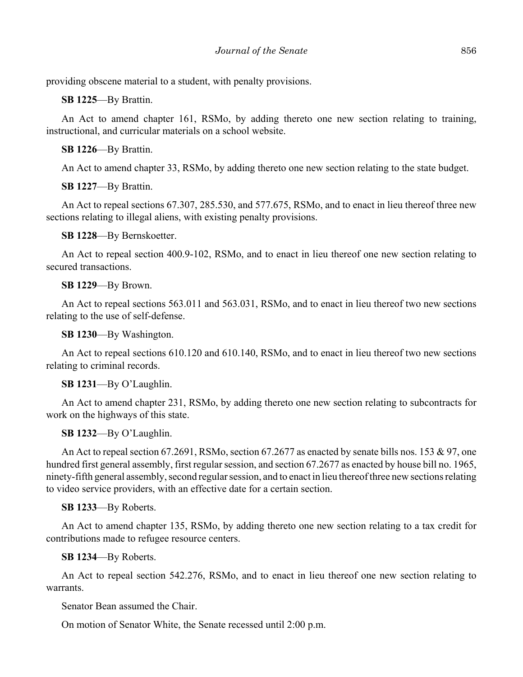providing obscene material to a student, with penalty provisions.

**SB 1225**—By Brattin.

An Act to amend chapter 161, RSMo, by adding thereto one new section relating to training, instructional, and curricular materials on a school website.

## **SB 1226**—By Brattin.

An Act to amend chapter 33, RSMo, by adding thereto one new section relating to the state budget.

**SB 1227**—By Brattin.

An Act to repeal sections 67.307, 285.530, and 577.675, RSMo, and to enact in lieu thereof three new sections relating to illegal aliens, with existing penalty provisions.

**SB 1228**—By Bernskoetter.

An Act to repeal section 400.9-102, RSMo, and to enact in lieu thereof one new section relating to secured transactions.

**SB 1229**—By Brown.

An Act to repeal sections 563.011 and 563.031, RSMo, and to enact in lieu thereof two new sections relating to the use of self-defense.

**SB 1230**—By Washington.

An Act to repeal sections 610.120 and 610.140, RSMo, and to enact in lieu thereof two new sections relating to criminal records.

**SB 1231**—By O'Laughlin.

An Act to amend chapter 231, RSMo, by adding thereto one new section relating to subcontracts for work on the highways of this state.

**SB 1232**—By O'Laughlin.

An Act to repeal section 67.2691, RSMo, section 67.2677 as enacted by senate bills nos. 153 & 97, one hundred first general assembly, first regular session, and section 67.2677 as enacted by house bill no. 1965, ninety-fifth general assembly, second regular session, and to enact in lieu thereof three new sections relating to video service providers, with an effective date for a certain section.

**SB 1233**—By Roberts.

An Act to amend chapter 135, RSMo, by adding thereto one new section relating to a tax credit for contributions made to refugee resource centers.

**SB 1234**—By Roberts.

An Act to repeal section 542.276, RSMo, and to enact in lieu thereof one new section relating to warrants.

Senator Bean assumed the Chair.

On motion of Senator White, the Senate recessed until 2:00 p.m.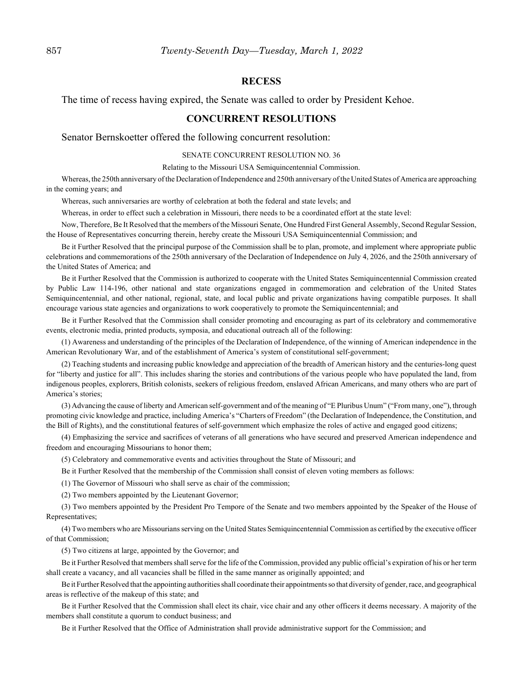#### **RECESS**

The time of recess having expired, the Senate was called to order by President Kehoe.

## **CONCURRENT RESOLUTIONS**

Senator Bernskoetter offered the following concurrent resolution:

#### SENATE CONCURRENT RESOLUTION NO. 36

#### Relating to the Missouri USA Semiquincentennial Commission.

Whereas, the 250th anniversary of the Declaration of Independence and 250th anniversary of the United States of America are approaching in the coming years; and

Whereas, such anniversaries are worthy of celebration at both the federal and state levels; and

Whereas, in order to effect such a celebration in Missouri, there needs to be a coordinated effort at the state level:

Now, Therefore, Be It Resolved that the members of the Missouri Senate, One Hundred First General Assembly, Second Regular Session, the House of Representatives concurring therein, hereby create the Missouri USA Semiquincentennial Commission; and

Be it Further Resolved that the principal purpose of the Commission shall be to plan, promote, and implement where appropriate public celebrations and commemorations of the 250th anniversary of the Declaration of Independence on July 4, 2026, and the 250th anniversary of the United States of America; and

Be it Further Resolved that the Commission is authorized to cooperate with the United States Semiquincentennial Commission created by Public Law 114-196, other national and state organizations engaged in commemoration and celebration of the United States Semiquincentennial, and other national, regional, state, and local public and private organizations having compatible purposes. It shall encourage various state agencies and organizations to work cooperatively to promote the Semiquincentennial; and

Be it Further Resolved that the Commission shall consider promoting and encouraging as part of its celebratory and commemorative events, electronic media, printed products, symposia, and educational outreach all of the following:

(1) Awareness and understanding of the principles of the Declaration of Independence, of the winning of American independence in the American Revolutionary War, and of the establishment of America's system of constitutional self-government;

(2) Teaching students and increasing public knowledge and appreciation of the breadth of American history and the centuries-long quest for "liberty and justice for all". This includes sharing the stories and contributions of the various people who have populated the land, from indigenous peoples, explorers, British colonists, seekers of religious freedom, enslaved African Americans, and many others who are part of America's stories;

(3) Advancing the cause of liberty and American self-government and of the meaning of "E Pluribus Unum" ("From many, one"), through promoting civic knowledge and practice, including America's "Charters of Freedom" (the Declaration of Independence, the Constitution, and the Bill of Rights), and the constitutional features of self-government which emphasize the roles of active and engaged good citizens;

(4) Emphasizing the service and sacrifices of veterans of all generations who have secured and preserved American independence and freedom and encouraging Missourians to honor them;

(5) Celebratory and commemorative events and activities throughout the State of Missouri; and

Be it Further Resolved that the membership of the Commission shall consist of eleven voting members as follows:

(1) The Governor of Missouri who shall serve as chair of the commission;

(2) Two members appointed by the Lieutenant Governor;

(3) Two members appointed by the President Pro Tempore of the Senate and two members appointed by the Speaker of the House of Representatives;

(4) Two members who are Missourians serving on the United States Semiquincentennial Commission as certified by the executive officer of that Commission;

(5) Two citizens at large, appointed by the Governor; and

Be it Further Resolved that members shall serve for the life of the Commission, provided any public official's expiration of his or her term shall create a vacancy, and all vacancies shall be filled in the same manner as originally appointed; and

Be it Further Resolved that the appointing authorities shall coordinate their appointments so that diversity of gender, race, and geographical areas is reflective of the makeup of this state; and

Be it Further Resolved that the Commission shall elect its chair, vice chair and any other officers it deems necessary. A majority of the members shall constitute a quorum to conduct business; and

Be it Further Resolved that the Office of Administration shall provide administrative support for the Commission; and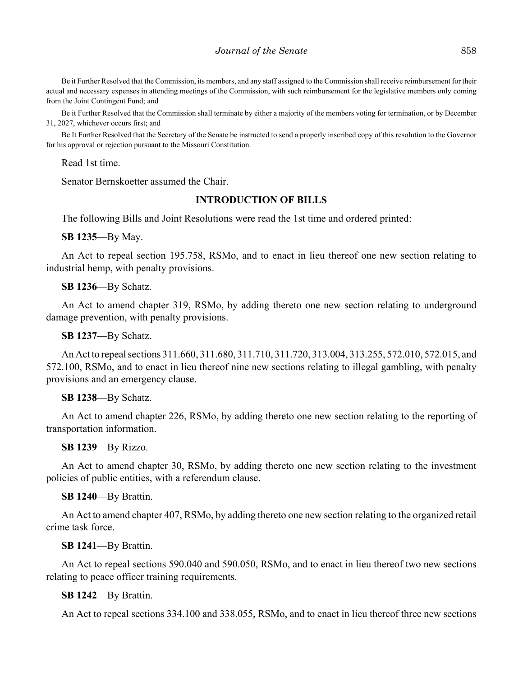Be it Further Resolved that the Commission, its members, and any staff assigned to the Commission shall receive reimbursement for their actual and necessary expenses in attending meetings of the Commission, with such reimbursement for the legislative members only coming from the Joint Contingent Fund; and

Be it Further Resolved that the Commission shall terminate by either a majority of the members voting for termination, or by December 31, 2027, whichever occurs first; and

Be It Further Resolved that the Secretary of the Senate be instructed to send a properly inscribed copy of this resolution to the Governor for his approval or rejection pursuant to the Missouri Constitution.

Read 1st time.

Senator Bernskoetter assumed the Chair.

## **INTRODUCTION OF BILLS**

The following Bills and Joint Resolutions were read the 1st time and ordered printed:

**SB 1235**—By May.

An Act to repeal section 195.758, RSMo, and to enact in lieu thereof one new section relating to industrial hemp, with penalty provisions.

**SB 1236**—By Schatz.

An Act to amend chapter 319, RSMo, by adding thereto one new section relating to underground damage prevention, with penalty provisions.

**SB 1237**—By Schatz.

An Act to repeal sections 311.660, 311.680, 311.710, 311.720, 313.004, 313.255, 572.010, 572.015, and 572.100, RSMo, and to enact in lieu thereof nine new sections relating to illegal gambling, with penalty provisions and an emergency clause.

#### **SB 1238**—By Schatz.

An Act to amend chapter 226, RSMo, by adding thereto one new section relating to the reporting of transportation information.

**SB 1239**—By Rizzo.

An Act to amend chapter 30, RSMo, by adding thereto one new section relating to the investment policies of public entities, with a referendum clause.

#### **SB 1240**—By Brattin.

An Act to amend chapter 407, RSMo, by adding thereto one new section relating to the organized retail crime task force.

#### **SB 1241**—By Brattin.

An Act to repeal sections 590.040 and 590.050, RSMo, and to enact in lieu thereof two new sections relating to peace officer training requirements.

## **SB 1242**—By Brattin.

An Act to repeal sections 334.100 and 338.055, RSMo, and to enact in lieu thereof three new sections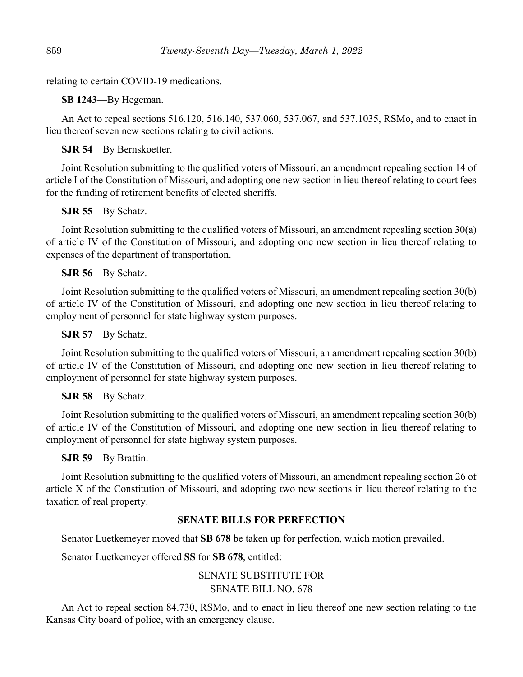relating to certain COVID-19 medications.

**SB 1243**—By Hegeman.

An Act to repeal sections 516.120, 516.140, 537.060, 537.067, and 537.1035, RSMo, and to enact in lieu thereof seven new sections relating to civil actions.

# **SJR 54**—By Bernskoetter.

Joint Resolution submitting to the qualified voters of Missouri, an amendment repealing section 14 of article I of the Constitution of Missouri, and adopting one new section in lieu thereof relating to court fees for the funding of retirement benefits of elected sheriffs.

# **SJR 55**—By Schatz.

Joint Resolution submitting to the qualified voters of Missouri, an amendment repealing section 30(a) of article IV of the Constitution of Missouri, and adopting one new section in lieu thereof relating to expenses of the department of transportation.

# **SJR 56**—By Schatz.

Joint Resolution submitting to the qualified voters of Missouri, an amendment repealing section 30(b) of article IV of the Constitution of Missouri, and adopting one new section in lieu thereof relating to employment of personnel for state highway system purposes.

# **SJR 57**—By Schatz.

Joint Resolution submitting to the qualified voters of Missouri, an amendment repealing section 30(b) of article IV of the Constitution of Missouri, and adopting one new section in lieu thereof relating to employment of personnel for state highway system purposes.

# **SJR 58**—By Schatz.

Joint Resolution submitting to the qualified voters of Missouri, an amendment repealing section 30(b) of article IV of the Constitution of Missouri, and adopting one new section in lieu thereof relating to employment of personnel for state highway system purposes.

# **SJR 59**—By Brattin.

Joint Resolution submitting to the qualified voters of Missouri, an amendment repealing section 26 of article X of the Constitution of Missouri, and adopting two new sections in lieu thereof relating to the taxation of real property.

# **SENATE BILLS FOR PERFECTION**

Senator Luetkemeyer moved that **SB 678** be taken up for perfection, which motion prevailed.

Senator Luetkemeyer offered **SS** for **SB 678**, entitled:

# SENATE SUBSTITUTE FOR SENATE BILL NO. 678

An Act to repeal section 84.730, RSMo, and to enact in lieu thereof one new section relating to the Kansas City board of police, with an emergency clause.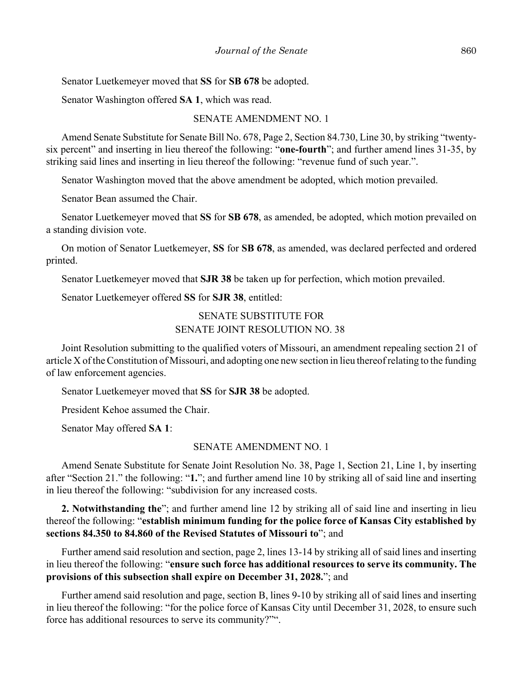Senator Luetkemeyer moved that **SS** for **SB 678** be adopted.

Senator Washington offered **SA 1**, which was read.

## SENATE AMENDMENT NO. 1

Amend Senate Substitute for Senate Bill No. 678, Page 2, Section 84.730, Line 30, by striking "twentysix percent" and inserting in lieu thereof the following: "**one-fourth**"; and further amend lines 31-35, by striking said lines and inserting in lieu thereof the following: "revenue fund of such year.".

Senator Washington moved that the above amendment be adopted, which motion prevailed.

Senator Bean assumed the Chair.

Senator Luetkemeyer moved that **SS** for **SB 678**, as amended, be adopted, which motion prevailed on a standing division vote.

On motion of Senator Luetkemeyer, **SS** for **SB 678**, as amended, was declared perfected and ordered printed.

Senator Luetkemeyer moved that **SJR 38** be taken up for perfection, which motion prevailed.

Senator Luetkemeyer offered **SS** for **SJR 38**, entitled:

# SENATE SUBSTITUTE FOR SENATE JOINT RESOLUTION NO. 38

Joint Resolution submitting to the qualified voters of Missouri, an amendment repealing section 21 of article X of the Constitution of Missouri, and adopting one new section in lieu thereof relating to the funding of law enforcement agencies.

Senator Luetkemeyer moved that **SS** for **SJR 38** be adopted.

President Kehoe assumed the Chair.

Senator May offered **SA 1**:

### SENATE AMENDMENT NO. 1

Amend Senate Substitute for Senate Joint Resolution No. 38, Page 1, Section 21, Line 1, by inserting after "Section 21." the following: "**1.**"; and further amend line 10 by striking all of said line and inserting in lieu thereof the following: "subdivision for any increased costs.

**2. Notwithstanding the**"; and further amend line 12 by striking all of said line and inserting in lieu thereof the following: "**establish minimum funding for the police force of Kansas City established by sections 84.350 to 84.860 of the Revised Statutes of Missouri to**"; and

Further amend said resolution and section, page 2, lines 13-14 by striking all of said lines and inserting in lieu thereof the following: "**ensure such force has additional resources to serve its community. The provisions of this subsection shall expire on December 31, 2028.**"; and

Further amend said resolution and page, section B, lines 9-10 by striking all of said lines and inserting in lieu thereof the following: "for the police force of Kansas City until December 31, 2028, to ensure such force has additional resources to serve its community?"".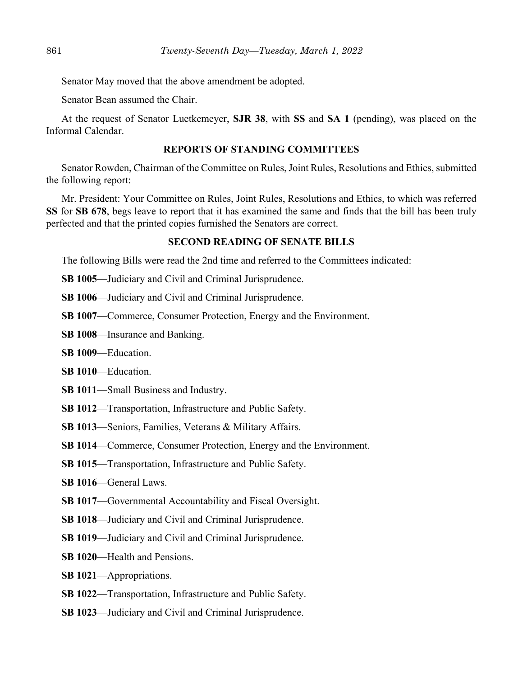Senator May moved that the above amendment be adopted.

Senator Bean assumed the Chair.

At the request of Senator Luetkemeyer, **SJR 38**, with **SS** and **SA 1** (pending), was placed on the Informal Calendar.

## **REPORTS OF STANDING COMMITTEES**

Senator Rowden, Chairman of the Committee on Rules, Joint Rules, Resolutions and Ethics, submitted the following report:

Mr. President: Your Committee on Rules, Joint Rules, Resolutions and Ethics, to which was referred **SS** for **SB 678**, begs leave to report that it has examined the same and finds that the bill has been truly perfected and that the printed copies furnished the Senators are correct.

## **SECOND READING OF SENATE BILLS**

The following Bills were read the 2nd time and referred to the Committees indicated:

**SB 1005**––Judiciary and Civil and Criminal Jurisprudence.

**SB 1006**—Judiciary and Civil and Criminal Jurisprudence.

**SB 1007—Commerce, Consumer Protection, Energy and the Environment.** 

**SB 1008**––Insurance and Banking.

**SB 1009**––Education.

**SB 1010**––Education.

- **SB 1011**––Small Business and Industry.
- **SB 1012**––Transportation, Infrastructure and Public Safety.
- **SB 1013**––Seniors, Families, Veterans & Military Affairs.

**SB 1014—Commerce, Consumer Protection, Energy and the Environment.** 

**SB 1015**––Transportation, Infrastructure and Public Safety.

**SB 1016**––General Laws.

- **SB 1017—Governmental Accountability and Fiscal Oversight.**
- **SB 1018**––Judiciary and Civil and Criminal Jurisprudence.
- **SB 1019**––Judiciary and Civil and Criminal Jurisprudence.
- **SB 1020**––Health and Pensions.
- **SB 1021**––Appropriations.
- **SB 1022**––Transportation, Infrastructure and Public Safety.
- **SB 1023**––Judiciary and Civil and Criminal Jurisprudence.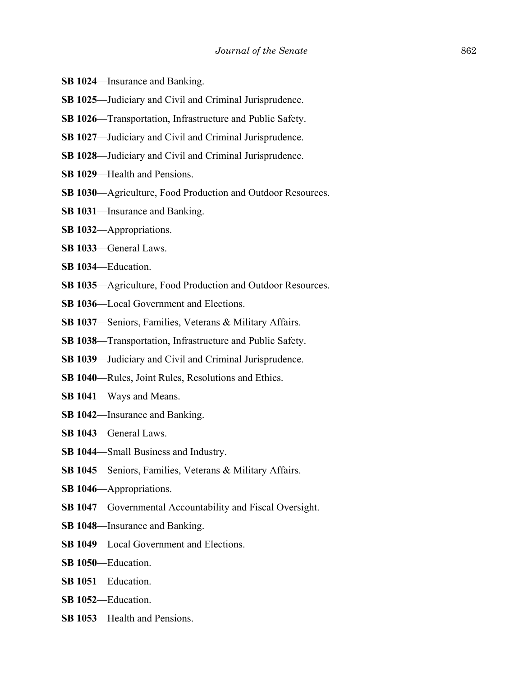- **SB 1024**––Insurance and Banking.
- **SB 1025**––Judiciary and Civil and Criminal Jurisprudence.
- **SB 1026**––Transportation, Infrastructure and Public Safety.
- **SB 1027—Judiciary and Civil and Criminal Jurisprudence.**
- **SB 1028**––Judiciary and Civil and Criminal Jurisprudence.
- **SB 1029**––Health and Pensions.
- **SB 1030**––Agriculture, Food Production and Outdoor Resources.
- **SB 1031**––Insurance and Banking.
- **SB 1032**––Appropriations.
- **SB 1033**––General Laws.
- **SB 1034**––Education.
- **SB 1035**––Agriculture, Food Production and Outdoor Resources.
- **SB 1036—Local Government and Elections.**
- **SB 1037**—Seniors, Families, Veterans & Military Affairs.
- **SB 1038**––Transportation, Infrastructure and Public Safety.
- **SB 1039**––Judiciary and Civil and Criminal Jurisprudence.
- **SB 1040––Rules, Joint Rules, Resolutions and Ethics.**
- **SB 1041**––Ways and Means.
- **SB 1042**––Insurance and Banking.
- **SB 1043**––General Laws.
- **SB 1044**––Small Business and Industry.
- **SB 1045**—Seniors, Families, Veterans & Military Affairs.
- **SB 1046**––Appropriations.
- **SB 1047**—Governmental Accountability and Fiscal Oversight.
- **SB 1048**––Insurance and Banking.
- **SB 1049**—Local Government and Elections.
- **SB 1050**––Education.
- **SB 1051**––Education.
- **SB 1052**––Education.
- **SB 1053**––Health and Pensions.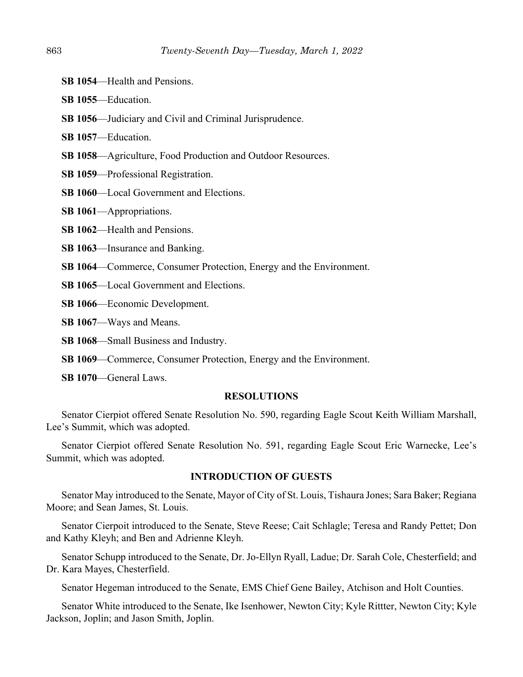- **SB 1054**––Health and Pensions.
- **SB 1055**––Education.
- **SB 1056**—Judiciary and Civil and Criminal Jurisprudence.
- **SB 1057**––Education.
- **SB 1058**––Agriculture, Food Production and Outdoor Resources.
- **SB 1059**––Professional Registration.
- **SB 1060—Local Government and Elections.**
- **SB 1061**––Appropriations.
- **SB 1062**––Health and Pensions.
- **SB 1063**––Insurance and Banking.
- **SB 1064—Commerce, Consumer Protection, Energy and the Environment.**
- **SB 1065—Local Government and Elections.**
- **SB 1066**––Economic Development.
- **SB 1067**––Ways and Means.
- **SB 1068**––Small Business and Industry.
- **SB 1069—Commerce, Consumer Protection, Energy and the Environment.**
- **SB 1070**—General Laws.

#### **RESOLUTIONS**

Senator Cierpiot offered Senate Resolution No. 590, regarding Eagle Scout Keith William Marshall, Lee's Summit, which was adopted.

Senator Cierpiot offered Senate Resolution No. 591, regarding Eagle Scout Eric Warnecke, Lee's Summit, which was adopted.

# **INTRODUCTION OF GUESTS**

Senator May introduced to the Senate, Mayor of City of St. Louis, Tishaura Jones; Sara Baker; Regiana Moore; and Sean James, St. Louis.

Senator Cierpoit introduced to the Senate, Steve Reese; Cait Schlagle; Teresa and Randy Pettet; Don and Kathy Kleyh; and Ben and Adrienne Kleyh.

Senator Schupp introduced to the Senate, Dr. Jo-Ellyn Ryall, Ladue; Dr. Sarah Cole, Chesterfield; and Dr. Kara Mayes, Chesterfield.

Senator Hegeman introduced to the Senate, EMS Chief Gene Bailey, Atchison and Holt Counties.

Senator White introduced to the Senate, Ike Isenhower, Newton City; Kyle Rittter, Newton City; Kyle Jackson, Joplin; and Jason Smith, Joplin.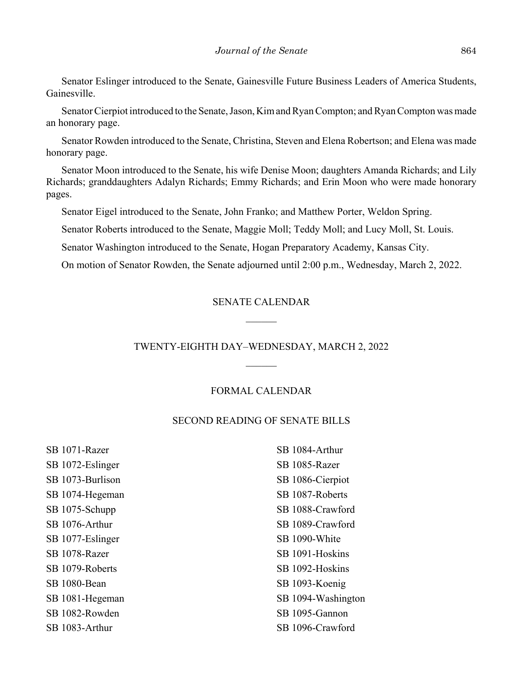Senator Eslinger introduced to the Senate, Gainesville Future Business Leaders of America Students, Gainesville.

Senator Cierpiot introduced to the Senate, Jason, Kim and Ryan Compton; and Ryan Compton was made an honorary page.

Senator Rowden introduced to the Senate, Christina, Steven and Elena Robertson; and Elena was made honorary page.

Senator Moon introduced to the Senate, his wife Denise Moon; daughters Amanda Richards; and Lily Richards; granddaughters Adalyn Richards; Emmy Richards; and Erin Moon who were made honorary pages.

Senator Eigel introduced to the Senate, John Franko; and Matthew Porter, Weldon Spring.

Senator Roberts introduced to the Senate, Maggie Moll; Teddy Moll; and Lucy Moll, St. Louis.

Senator Washington introduced to the Senate, Hogan Preparatory Academy, Kansas City.

On motion of Senator Rowden, the Senate adjourned until 2:00 p.m., Wednesday, March 2, 2022.

# SENATE CALENDAR

## TWENTY-EIGHTH DAY–WEDNESDAY, MARCH 2, 2022

# FORMAL CALENDAR

## SECOND READING OF SENATE BILLS

SB 1071-Razer SB 1072-Eslinger SB 1073-Burlison SB 1074-Hegeman SB 1075-Schupp SB 1076-Arthur SB 1077-Eslinger SB 1078-Razer SB 1079-Roberts SB 1080-Bean SB 1081-Hegeman SB 1082-Rowden SB 1083-Arthur

SB 1084-Arthur SB 1085-Razer SB 1086-Cierpiot SB 1087-Roberts SB 1088-Crawford SB 1089-Crawford SB 1090-White SB 1091-Hoskins SB 1092-Hoskins SB 1093-Koenig SB 1094-Washington SB 1095-Gannon SB 1096-Crawford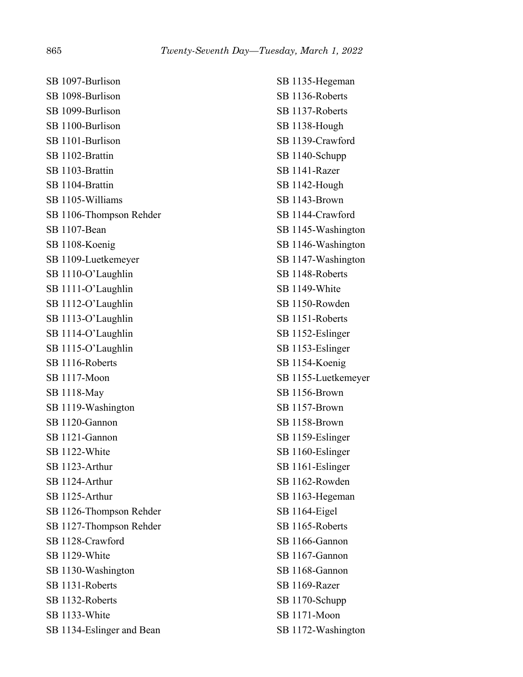SB 1097-Burlison SB 1098-Burlison SB 1099-Burlison SB 1100-Burlison SB 1101-Burlison SB 1102-Brattin SB 1103-Brattin SB 1104-Brattin SB 1105-Williams SB 1106-Thompson Rehder SB 1107-Bean SB 1108-Koenig SB 1109-Luetkemeyer SB 1110-O'Laughlin SB 1111-O'Laughlin SB 1112-O'Laughlin SB 1113-O'Laughlin SB 1114-O'Laughlin SB 1115-O'Laughlin SB 1116-Roberts SB 1117-Moon SB 1118-May SB 1119-Washington SB 1120-Gannon SB 1121-Gannon SB 1122-White SB 1123-Arthur SB 1124-Arthur SB 1125-Arthur SB 1126-Thompson Rehder SB 1127-Thompson Rehder SB 1128-Crawford SB 1129-White SB 1130-Washington SB 1131-Roberts SB 1132-Roberts SB 1133-White SB 1134-Eslinger and Bean

SB 1135-Hegeman SB 1136-Roberts SB 1137-Roberts SB 1138-Hough SB 1139-Crawford SB 1140-Schupp SB 1141-Razer SB 1142-Hough SB 1143-Brown SB 1144-Crawford SB 1145-Washington SB 1146-Washington SB 1147-Washington SB 1148-Roberts SB 1149-White SB 1150-Rowden SB 1151-Roberts SB 1152-Eslinger SB 1153-Eslinger SB 1154-Koenig SB 1155-Luetkemeyer SB 1156-Brown SB 1157-Brown SB 1158-Brown SB 1159-Eslinger SB 1160-Eslinger SB 1161-Eslinger SB 1162-Rowden SB 1163-Hegeman SB 1164-Eigel SB 1165-Roberts SB 1166-Gannon SB 1167-Gannon SB 1168-Gannon SB 1169-Razer SB 1170-Schupp SB 1171-Moon SB 1172-Washington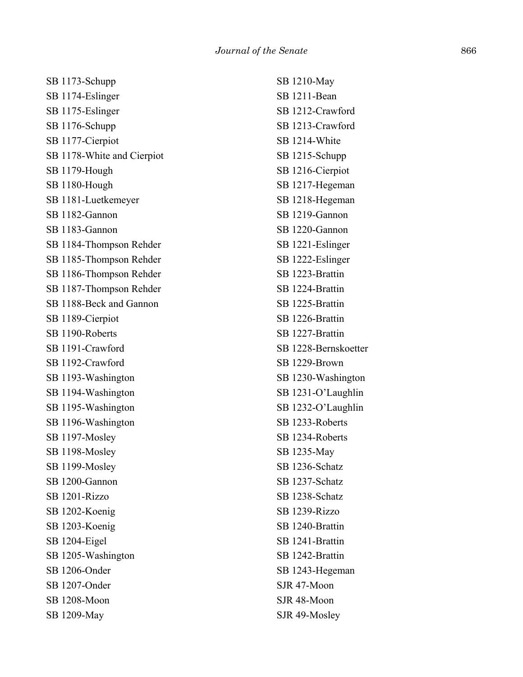SB 1173-Schupp SB 1174-Eslinger SB 1175-Eslinger SB 1176-Schupp SB 1177-Cierpiot SB 1178-White and Cierpiot SB 1179-Hough SB 1180-Hough SB 1181-Luetkemeyer SB 1182-Gannon SB 1183-Gannon SB 1184-Thompson Rehder SB 1185-Thompson Rehder SB 1186-Thompson Rehder SB 1187-Thompson Rehder SB 1188-Beck and Gannon SB 1189-Cierpiot SB 1190-Roberts SB 1191-Crawford SB 1192-Crawford SB 1193-Washington SB 1194-Washington SB 1195-Washington SB 1196-Washington SB 1197-Mosley SB 1198-Mosley SB 1199-Mosley SB 1200-Gannon SB 1201-Rizzo SB 1202-Koenig SB 1203-Koenig SB 1204-Eigel SB 1205-Washington SB 1206-Onder SB 1207-Onder SB 1208-Moon SB 1209-May

SB 1210-May SB 1211-Bean SB 1212-Crawford SB 1213-Crawford SB 1214-White SB 1215-Schupp SB 1216-Cierpiot SB 1217-Hegeman SB 1218-Hegeman SB 1219-Gannon SB 1220-Gannon SB 1221-Eslinger SB 1222-Eslinger SB 1223-Brattin SB 1224-Brattin SB 1225-Brattin SB 1226-Brattin SB 1227-Brattin SB 1228-Bernskoetter SB 1229-Brown SB 1230-Washington SB 1231-O'Laughlin SB 1232-O'Laughlin SB 1233-Roberts SB 1234-Roberts SB 1235-May SB 1236-Schatz SB 1237-Schatz SB 1238-Schatz SB 1239-Rizzo SB 1240-Brattin SB 1241-Brattin SB 1242-Brattin SB 1243-Hegeman SJR 47-Moon SJR 48-Moon SJR 49-Mosley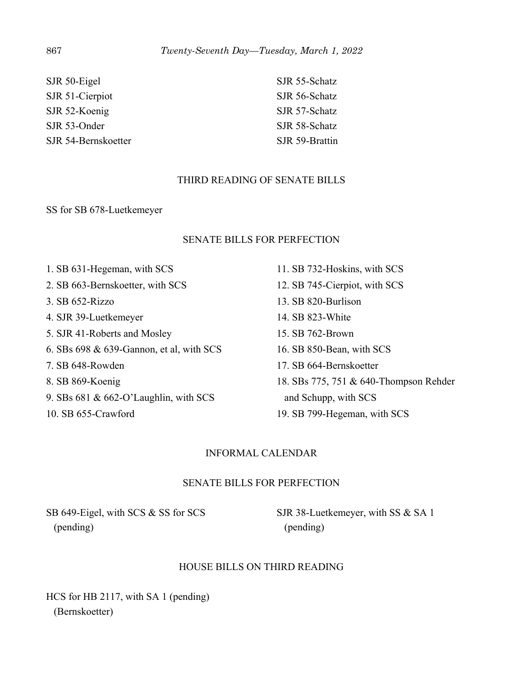| SJR 50-Eigel        | SJR 55-Schatz  |
|---------------------|----------------|
| SJR 51-Cierpiot     | SJR 56-Schatz  |
| SJR 52-Koenig       | SJR 57-Schatz  |
| SJR 53-Onder        | SJR 58-Schatz  |
| SJR 54-Bernskoetter | SJR 59-Brattin |

## THIRD READING OF SENATE BILLS

SS for SB 678-Luetkemeyer

# SENATE BILLS FOR PERFECTION

1. SB 631-Hegeman, with SCS 2. SB 663-Bernskoetter, with SCS 3. SB 652-Rizzo 4. SJR 39-Luetkemeyer 5. SJR 41-Roberts and Mosley 6. SBs 698 & 639-Gannon, et al, with SCS 7. SB 648-Rowden 8. SB 869-Koenig 9. SBs 681 & 662-O'Laughlin, with SCS 10. SB 655-Crawford

11. SB 732-Hoskins, with SCS 12. SB 745-Cierpiot, with SCS 13. SB 820-Burlison 14. SB 823-White 15. SB 762-Brown 16. SB 850-Bean, with SCS 17. SB 664-Bernskoetter 18. SBs 775, 751 & 640-Thompson Rehder and Schupp, with SCS 19. SB 799-Hegeman, with SCS

# INFORMAL CALENDAR

## SENATE BILLS FOR PERFECTION

SB 649-Eigel, with SCS & SS for SCS (pending)

SJR 38-Luetkemeyer, with SS & SA 1 (pending)

## HOUSE BILLS ON THIRD READING

HCS for HB 2117, with SA 1 (pending) (Bernskoetter)